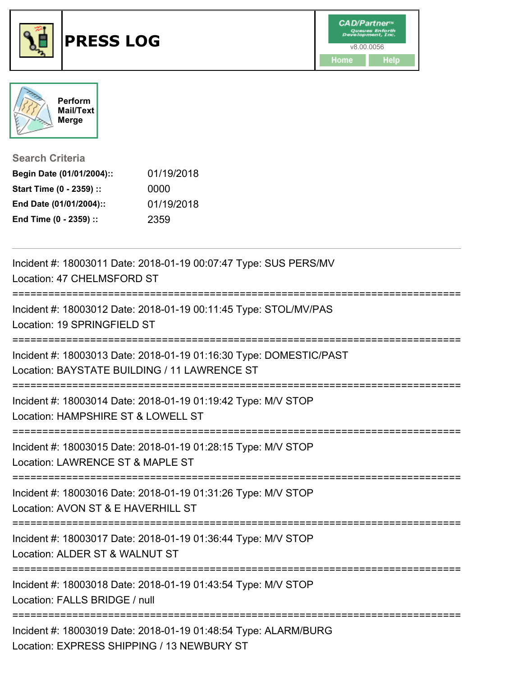



|  | <b>Search Criteria</b> |  |  |  |  |
|--|------------------------|--|--|--|--|
|  |                        |  |  |  |  |

| Begin Date (01/01/2004):: | 01/19/2018 |
|---------------------------|------------|
| Start Time (0 - 2359) ::  | 0000       |
| End Date (01/01/2004)::   | 01/19/2018 |
| End Time (0 - 2359) ::    | 2359       |

| Incident #: 18003011 Date: 2018-01-19 00:07:47 Type: SUS PERS/MV<br>Location: 47 CHELMSFORD ST                                |
|-------------------------------------------------------------------------------------------------------------------------------|
| Incident #: 18003012 Date: 2018-01-19 00:11:45 Type: STOL/MV/PAS<br>Location: 19 SPRINGFIELD ST                               |
| Incident #: 18003013 Date: 2018-01-19 01:16:30 Type: DOMESTIC/PAST<br>Location: BAYSTATE BUILDING / 11 LAWRENCE ST            |
| Incident #: 18003014 Date: 2018-01-19 01:19:42 Type: M/V STOP<br>Location: HAMPSHIRE ST & LOWELL ST                           |
| Incident #: 18003015 Date: 2018-01-19 01:28:15 Type: M/V STOP<br>Location: LAWRENCE ST & MAPLE ST                             |
| Incident #: 18003016 Date: 2018-01-19 01:31:26 Type: M/V STOP<br>Location: AVON ST & E HAVERHILL ST                           |
| Incident #: 18003017 Date: 2018-01-19 01:36:44 Type: M/V STOP<br>Location: ALDER ST & WALNUT ST<br>========================== |
| Incident #: 18003018 Date: 2018-01-19 01:43:54 Type: M/V STOP<br>Location: FALLS BRIDGE / null                                |
| Incident #: 18003019 Date: 2018-01-19 01:48:54 Type: ALARM/BURG<br>Location: EXPRESS SHIPPING / 13 NEWBURY ST                 |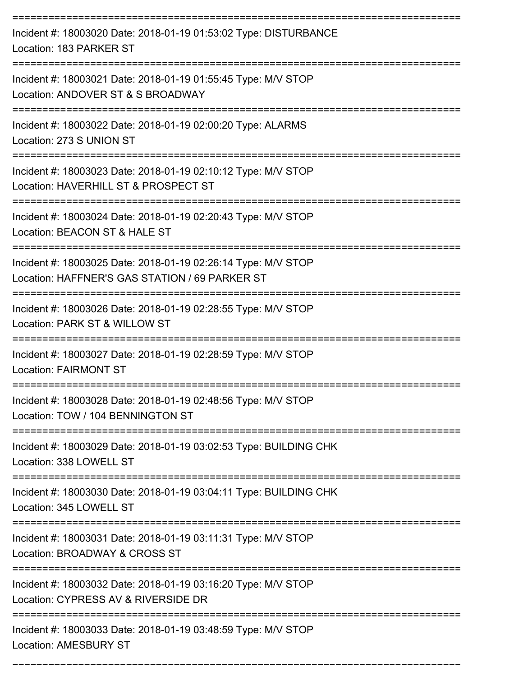| Incident #: 18003020 Date: 2018-01-19 01:53:02 Type: DISTURBANCE<br>Location: 183 PARKER ST                     |
|-----------------------------------------------------------------------------------------------------------------|
| Incident #: 18003021 Date: 2018-01-19 01:55:45 Type: M/V STOP<br>Location: ANDOVER ST & S BROADWAY              |
| Incident #: 18003022 Date: 2018-01-19 02:00:20 Type: ALARMS<br>Location: 273 S UNION ST                         |
| Incident #: 18003023 Date: 2018-01-19 02:10:12 Type: M/V STOP<br>Location: HAVERHILL ST & PROSPECT ST           |
| Incident #: 18003024 Date: 2018-01-19 02:20:43 Type: M/V STOP<br>Location: BEACON ST & HALE ST                  |
| Incident #: 18003025 Date: 2018-01-19 02:26:14 Type: M/V STOP<br>Location: HAFFNER'S GAS STATION / 69 PARKER ST |
| Incident #: 18003026 Date: 2018-01-19 02:28:55 Type: M/V STOP<br>Location: PARK ST & WILLOW ST                  |
| Incident #: 18003027 Date: 2018-01-19 02:28:59 Type: M/V STOP<br><b>Location: FAIRMONT ST</b>                   |
| Incident #: 18003028 Date: 2018-01-19 02:48:56 Type: M/V STOP<br>Location: TOW / 104 BENNINGTON ST              |
| Incident #: 18003029 Date: 2018-01-19 03:02:53 Type: BUILDING CHK<br>Location: 338 LOWELL ST                    |
| Incident #: 18003030 Date: 2018-01-19 03:04:11 Type: BUILDING CHK<br>Location: 345 LOWELL ST                    |
| Incident #: 18003031 Date: 2018-01-19 03:11:31 Type: M/V STOP<br>Location: BROADWAY & CROSS ST                  |
| Incident #: 18003032 Date: 2018-01-19 03:16:20 Type: M/V STOP<br>Location: CYPRESS AV & RIVERSIDE DR            |
| Incident #: 18003033 Date: 2018-01-19 03:48:59 Type: M/V STOP<br><b>Location: AMESBURY ST</b>                   |

===========================================================================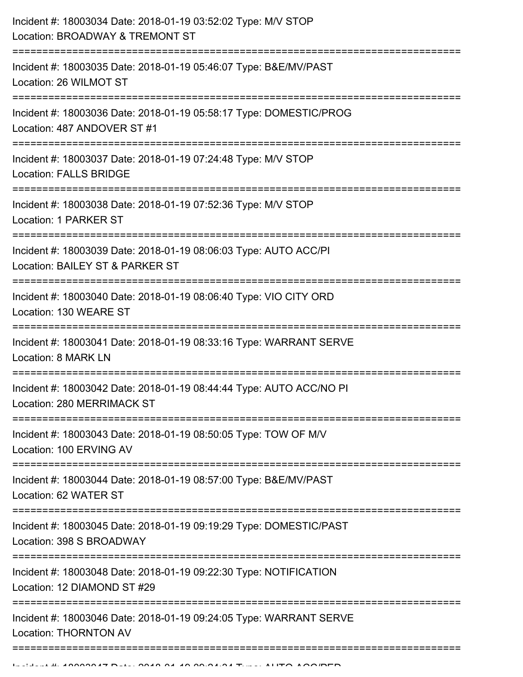| Incident #: 18003034 Date: 2018-01-19 03:52:02 Type: M/V STOP<br>Location: BROADWAY & TREMONT ST                                                     |
|------------------------------------------------------------------------------------------------------------------------------------------------------|
| Incident #: 18003035 Date: 2018-01-19 05:46:07 Type: B&E/MV/PAST<br>Location: 26 WILMOT ST                                                           |
| Incident #: 18003036 Date: 2018-01-19 05:58:17 Type: DOMESTIC/PROG<br>Location: 487 ANDOVER ST #1<br>=====================<br>---------------        |
| Incident #: 18003037 Date: 2018-01-19 07:24:48 Type: M/V STOP<br><b>Location: FALLS BRIDGE</b><br>:===============================                   |
| Incident #: 18003038 Date: 2018-01-19 07:52:36 Type: M/V STOP<br>Location: 1 PARKER ST                                                               |
| Incident #: 18003039 Date: 2018-01-19 08:06:03 Type: AUTO ACC/PI<br>Location: BAILEY ST & PARKER ST<br>-------------------------<br>================ |
| Incident #: 18003040 Date: 2018-01-19 08:06:40 Type: VIO CITY ORD<br>Location: 130 WEARE ST                                                          |
| Incident #: 18003041 Date: 2018-01-19 08:33:16 Type: WARRANT SERVE<br>Location: 8 MARK LN                                                            |
| Incident #: 18003042 Date: 2018-01-19 08:44:44 Type: AUTO ACC/NO PI<br>Location: 280 MERRIMACK ST                                                    |
| Incident #: 18003043 Date: 2018-01-19 08:50:05 Type: TOW OF M/V<br>Location: 100 ERVING AV                                                           |
| Incident #: 18003044 Date: 2018-01-19 08:57:00 Type: B&E/MV/PAST<br>Location: 62 WATER ST                                                            |
| Incident #: 18003045 Date: 2018-01-19 09:19:29 Type: DOMESTIC/PAST<br>Location: 398 S BROADWAY                                                       |
| Incident #: 18003048 Date: 2018-01-19 09:22:30 Type: NOTIFICATION<br>Location: 12 DIAMOND ST #29                                                     |
| Incident #: 18003046 Date: 2018-01-19 09:24:05 Type: WARRANT SERVE<br><b>Location: THORNTON AV</b>                                                   |
|                                                                                                                                                      |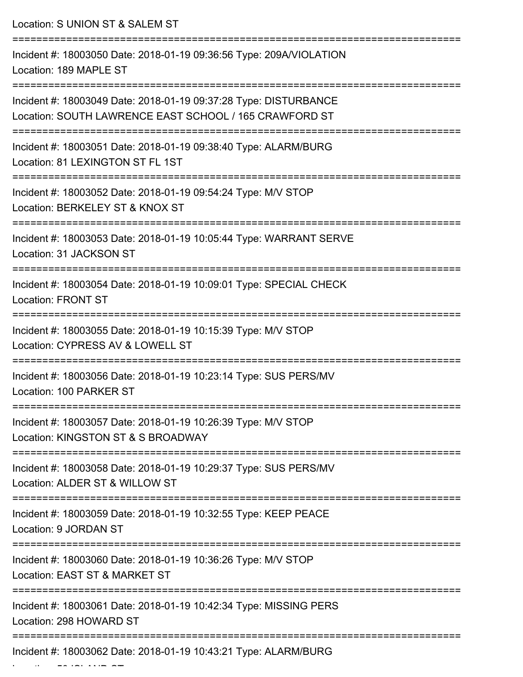Location: S UNION ST & SALEM ST =========================================================================== Incident #: 18003050 Date: 2018-01-19 09:36:56 Type: 209A/VIOLATION Location: 189 MAPLE ST =========================================================================== Incident #: 18003049 Date: 2018-01-19 09:37:28 Type: DISTURBANCE Location: SOUTH LAWRENCE EAST SCHOOL / 165 CRAWFORD ST =========================================================================== Incident #: 18003051 Date: 2018-01-19 09:38:40 Type: ALARM/BURG Location: 81 LEXINGTON ST FL 1ST =========================================================================== Incident #: 18003052 Date: 2018-01-19 09:54:24 Type: M/V STOP Location: BERKELEY ST & KNOX ST =========================================================================== Incident #: 18003053 Date: 2018-01-19 10:05:44 Type: WARRANT SERVE Location: 31 JACKSON ST =========================================================================== Incident #: 18003054 Date: 2018-01-19 10:09:01 Type: SPECIAL CHECK Location: FRONT ST =========================================================================== Incident #: 18003055 Date: 2018-01-19 10:15:39 Type: M/V STOP Location: CYPRESS AV & LOWELL ST =========================================================================== Incident #: 18003056 Date: 2018-01-19 10:23:14 Type: SUS PERS/MV Location: 100 PARKER ST =========================================================================== Incident #: 18003057 Date: 2018-01-19 10:26:39 Type: M/V STOP Location: KINGSTON ST & S BROADWAY =========================================================================== Incident #: 18003058 Date: 2018-01-19 10:29:37 Type: SUS PERS/MV Location: ALDER ST & WILLOW ST =========================================================================== Incident #: 18003059 Date: 2018-01-19 10:32:55 Type: KEEP PEACE Location: 9 JORDAN ST =========================================================================== Incident #: 18003060 Date: 2018-01-19 10:36:26 Type: M/V STOP Location: EAST ST & MARKET ST =========================================================================== Incident #: 18003061 Date: 2018-01-19 10:42:34 Type: MISSING PERS Location: 298 HOWARD ST =========================================================================== Incident #: 18003062 Date: 2018-01-19 10:43:21 Type: ALARM/BURG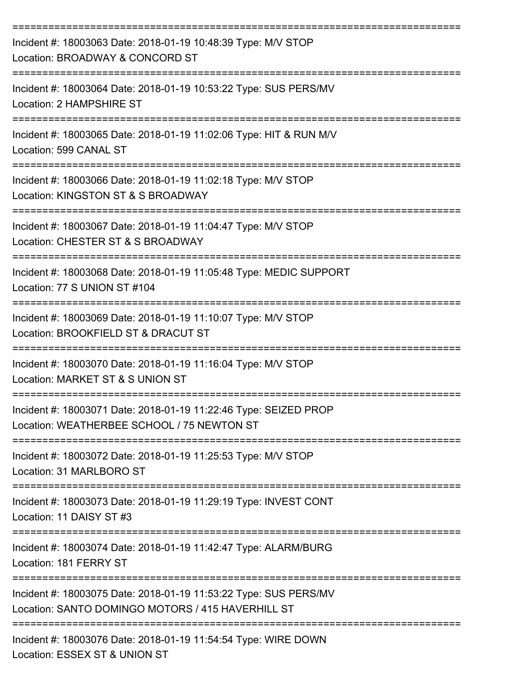| Incident #: 18003063 Date: 2018-01-19 10:48:39 Type: M/V STOP<br>Location: BROADWAY & CONCORD ST                                     |
|--------------------------------------------------------------------------------------------------------------------------------------|
| Incident #: 18003064 Date: 2018-01-19 10:53:22 Type: SUS PERS/MV<br>Location: 2 HAMPSHIRE ST                                         |
| Incident #: 18003065 Date: 2018-01-19 11:02:06 Type: HIT & RUN M/V<br>Location: 599 CANAL ST                                         |
| Incident #: 18003066 Date: 2018-01-19 11:02:18 Type: M/V STOP<br>Location: KINGSTON ST & S BROADWAY                                  |
| Incident #: 18003067 Date: 2018-01-19 11:04:47 Type: M/V STOP<br>Location: CHESTER ST & S BROADWAY                                   |
| Incident #: 18003068 Date: 2018-01-19 11:05:48 Type: MEDIC SUPPORT<br>Location: 77 S UNION ST #104                                   |
| Incident #: 18003069 Date: 2018-01-19 11:10:07 Type: M/V STOP<br>Location: BROOKFIELD ST & DRACUT ST                                 |
| Incident #: 18003070 Date: 2018-01-19 11:16:04 Type: M/V STOP<br>Location: MARKET ST & S UNION ST                                    |
| Incident #: 18003071 Date: 2018-01-19 11:22:46 Type: SEIZED PROP<br>Location: WEATHERBEE SCHOOL / 75 NEWTON ST                       |
| ===============================<br>Incident #: 18003072 Date: 2018-01-19 11:25:53 Type: M/V STOP<br>Location: 31 MARLBORO ST         |
| Incident #: 18003073 Date: 2018-01-19 11:29:19 Type: INVEST CONT<br>Location: 11 DAISY ST #3                                         |
| Incident #: 18003074 Date: 2018-01-19 11:42:47 Type: ALARM/BURG<br>Location: 181 FERRY ST                                            |
| Incident #: 18003075 Date: 2018-01-19 11:53:22 Type: SUS PERS/MV<br>Location: SANTO DOMINGO MOTORS / 415 HAVERHILL ST                |
| ---------------------------------<br>Incident #: 18003076 Date: 2018-01-19 11:54:54 Type: WIRE DOWN<br>Location: ESSEX ST & UNION ST |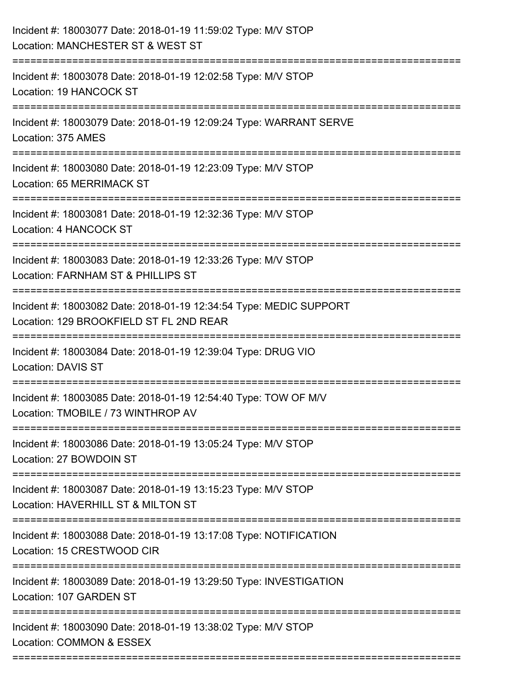| Incident #: 18003077 Date: 2018-01-19 11:59:02 Type: M/V STOP<br>Location: MANCHESTER ST & WEST ST            |
|---------------------------------------------------------------------------------------------------------------|
| Incident #: 18003078 Date: 2018-01-19 12:02:58 Type: M/V STOP<br>Location: 19 HANCOCK ST                      |
| Incident #: 18003079 Date: 2018-01-19 12:09:24 Type: WARRANT SERVE<br>Location: 375 AMES                      |
| Incident #: 18003080 Date: 2018-01-19 12:23:09 Type: M/V STOP<br><b>Location: 65 MERRIMACK ST</b>             |
| Incident #: 18003081 Date: 2018-01-19 12:32:36 Type: M/V STOP<br>Location: 4 HANCOCK ST                       |
| Incident #: 18003083 Date: 2018-01-19 12:33:26 Type: M/V STOP<br>Location: FARNHAM ST & PHILLIPS ST           |
| Incident #: 18003082 Date: 2018-01-19 12:34:54 Type: MEDIC SUPPORT<br>Location: 129 BROOKFIELD ST FL 2ND REAR |
| Incident #: 18003084 Date: 2018-01-19 12:39:04 Type: DRUG VIO<br><b>Location: DAVIS ST</b>                    |
| Incident #: 18003085 Date: 2018-01-19 12:54:40 Type: TOW OF M/V<br>Location: TMOBILE / 73 WINTHROP AV         |
| Incident #: 18003086 Date: 2018-01-19 13:05:24 Type: M/V STOP<br>Location: 27 BOWDOIN ST                      |
| Incident #: 18003087 Date: 2018-01-19 13:15:23 Type: M/V STOP<br>Location: HAVERHILL ST & MILTON ST           |
| Incident #: 18003088 Date: 2018-01-19 13:17:08 Type: NOTIFICATION<br>Location: 15 CRESTWOOD CIR               |
| Incident #: 18003089 Date: 2018-01-19 13:29:50 Type: INVESTIGATION<br>Location: 107 GARDEN ST                 |
| Incident #: 18003090 Date: 2018-01-19 13:38:02 Type: M/V STOP<br>Location: COMMON & ESSEX                     |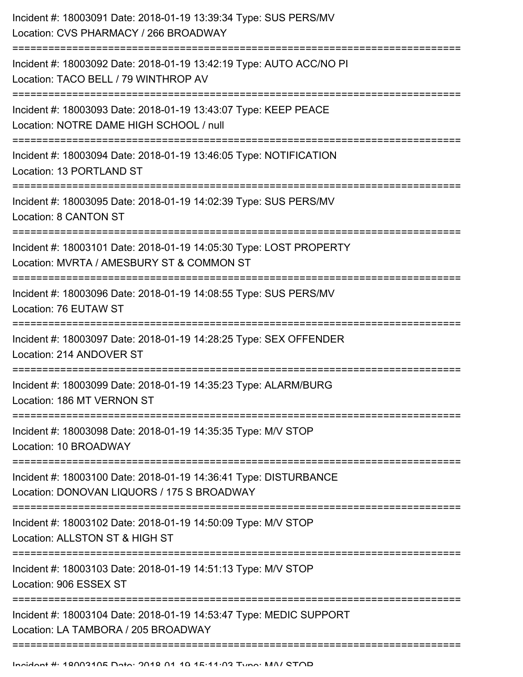| Incident #: 18003091 Date: 2018-01-19 13:39:34 Type: SUS PERS/MV<br>Location: CVS PHARMACY / 266 BROADWAY                            |
|--------------------------------------------------------------------------------------------------------------------------------------|
| Incident #: 18003092 Date: 2018-01-19 13:42:19 Type: AUTO ACC/NO PI<br>Location: TACO BELL / 79 WINTHROP AV                          |
| Incident #: 18003093 Date: 2018-01-19 13:43:07 Type: KEEP PEACE<br>Location: NOTRE DAME HIGH SCHOOL / null                           |
| Incident #: 18003094 Date: 2018-01-19 13:46:05 Type: NOTIFICATION<br>Location: 13 PORTLAND ST                                        |
| Incident #: 18003095 Date: 2018-01-19 14:02:39 Type: SUS PERS/MV<br>Location: 8 CANTON ST                                            |
| Incident #: 18003101 Date: 2018-01-19 14:05:30 Type: LOST PROPERTY<br>Location: MVRTA / AMESBURY ST & COMMON ST<br>================= |
| Incident #: 18003096 Date: 2018-01-19 14:08:55 Type: SUS PERS/MV<br>Location: 76 EUTAW ST                                            |
| Incident #: 18003097 Date: 2018-01-19 14:28:25 Type: SEX OFFENDER<br>Location: 214 ANDOVER ST                                        |
| Incident #: 18003099 Date: 2018-01-19 14:35:23 Type: ALARM/BURG<br>Location: 186 MT VERNON ST                                        |
| Incident #: 18003098 Date: 2018-01-19 14:35:35 Type: M/V STOP<br>Location: 10 BROADWAY                                               |
| Incident #: 18003100 Date: 2018-01-19 14:36:41 Type: DISTURBANCE<br>Location: DONOVAN LIQUORS / 175 S BROADWAY                       |
| Incident #: 18003102 Date: 2018-01-19 14:50:09 Type: M/V STOP<br>Location: ALLSTON ST & HIGH ST                                      |
| Incident #: 18003103 Date: 2018-01-19 14:51:13 Type: M/V STOP<br>Location: 906 ESSEX ST                                              |
| Incident #: 18003104 Date: 2018-01-19 14:53:47 Type: MEDIC SUPPORT<br>Location: LA TAMBORA / 205 BROADWAY                            |
|                                                                                                                                      |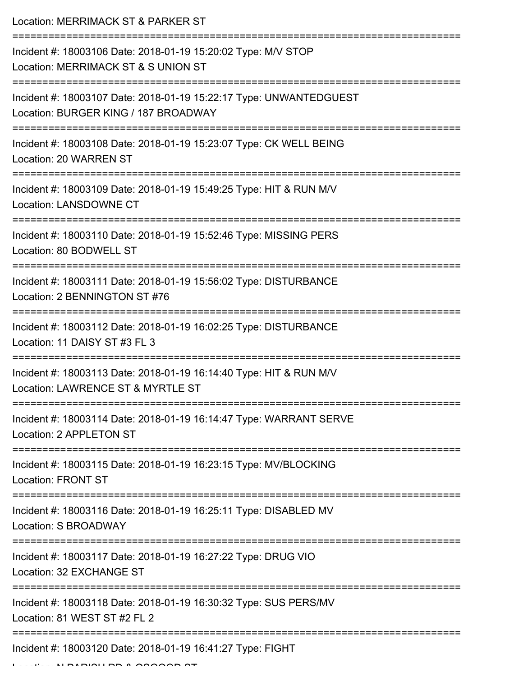| Location: MERRIMACK ST & PARKER ST                                                                            |
|---------------------------------------------------------------------------------------------------------------|
| Incident #: 18003106 Date: 2018-01-19 15:20:02 Type: M/V STOP<br>Location: MERRIMACK ST & S UNION ST          |
| Incident #: 18003107 Date: 2018-01-19 15:22:17 Type: UNWANTEDGUEST<br>Location: BURGER KING / 187 BROADWAY    |
| Incident #: 18003108 Date: 2018-01-19 15:23:07 Type: CK WELL BEING<br>Location: 20 WARREN ST                  |
| Incident #: 18003109 Date: 2018-01-19 15:49:25 Type: HIT & RUN M/V<br><b>Location: LANSDOWNE CT</b>           |
| Incident #: 18003110 Date: 2018-01-19 15:52:46 Type: MISSING PERS<br>Location: 80 BODWELL ST                  |
| Incident #: 18003111 Date: 2018-01-19 15:56:02 Type: DISTURBANCE<br>Location: 2 BENNINGTON ST #76             |
| Incident #: 18003112 Date: 2018-01-19 16:02:25 Type: DISTURBANCE<br>Location: 11 DAISY ST #3 FL 3             |
| Incident #: 18003113 Date: 2018-01-19 16:14:40 Type: HIT & RUN M/V<br>Location: LAWRENCE ST & MYRTLE ST       |
| Incident #: 18003114 Date: 2018-01-19 16:14:47 Type: WARRANT SERVE<br>Location: 2 APPLETON ST                 |
| Incident #: 18003115 Date: 2018-01-19 16:23:15 Type: MV/BLOCKING<br><b>Location: FRONT ST</b>                 |
| -----------------<br>Incident #: 18003116 Date: 2018-01-19 16:25:11 Type: DISABLED MV<br>Location: S BROADWAY |
| Incident #: 18003117 Date: 2018-01-19 16:27:22 Type: DRUG VIO<br>Location: 32 EXCHANGE ST                     |
| Incident #: 18003118 Date: 2018-01-19 16:30:32 Type: SUS PERS/MV<br>Location: 81 WEST ST #2 FL 2              |
| Incident #: 18003120 Date: 2018-01-19 16:41:27 Type: FIGHT                                                    |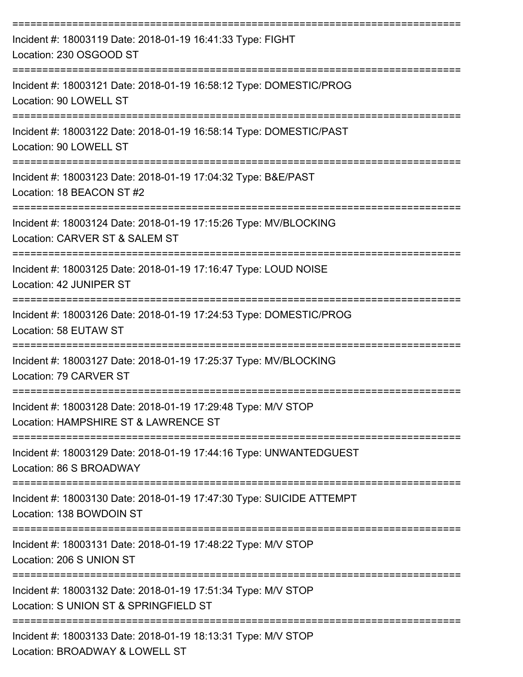| Incident #: 18003119 Date: 2018-01-19 16:41:33 Type: FIGHT<br>Location: 230 OSGOOD ST                                                |
|--------------------------------------------------------------------------------------------------------------------------------------|
| Incident #: 18003121 Date: 2018-01-19 16:58:12 Type: DOMESTIC/PROG<br>Location: 90 LOWELL ST                                         |
| Incident #: 18003122 Date: 2018-01-19 16:58:14 Type: DOMESTIC/PAST<br>Location: 90 LOWELL ST                                         |
| Incident #: 18003123 Date: 2018-01-19 17:04:32 Type: B&E/PAST<br>Location: 18 BEACON ST #2                                           |
| Incident #: 18003124 Date: 2018-01-19 17:15:26 Type: MV/BLOCKING<br>Location: CARVER ST & SALEM ST                                   |
| Incident #: 18003125 Date: 2018-01-19 17:16:47 Type: LOUD NOISE<br>Location: 42 JUNIPER ST                                           |
| Incident #: 18003126 Date: 2018-01-19 17:24:53 Type: DOMESTIC/PROG<br>Location: 58 EUTAW ST                                          |
| Incident #: 18003127 Date: 2018-01-19 17:25:37 Type: MV/BLOCKING<br>Location: 79 CARVER ST                                           |
| Incident #: 18003128 Date: 2018-01-19 17:29:48 Type: M/V STOP<br>Location: HAMPSHIRE ST & LAWRENCE ST                                |
| Incident #: 18003129 Date: 2018-01-19 17:44:16 Type: UNWANTEDGUEST<br>Location: 86 S BROADWAY                                        |
| Incident #: 18003130 Date: 2018-01-19 17:47:30 Type: SUICIDE ATTEMPT<br>Location: 138 BOWDOIN ST                                     |
| Incident #: 18003131 Date: 2018-01-19 17:48:22 Type: M/V STOP<br>Location: 206 S UNION ST                                            |
| Incident #: 18003132 Date: 2018-01-19 17:51:34 Type: M/V STOP<br>Location: S UNION ST & SPRINGFIELD ST                               |
| ---------------------------------<br>Incident #: 18003133 Date: 2018-01-19 18:13:31 Type: M/V STOP<br>Location: BROADWAY & LOWELL ST |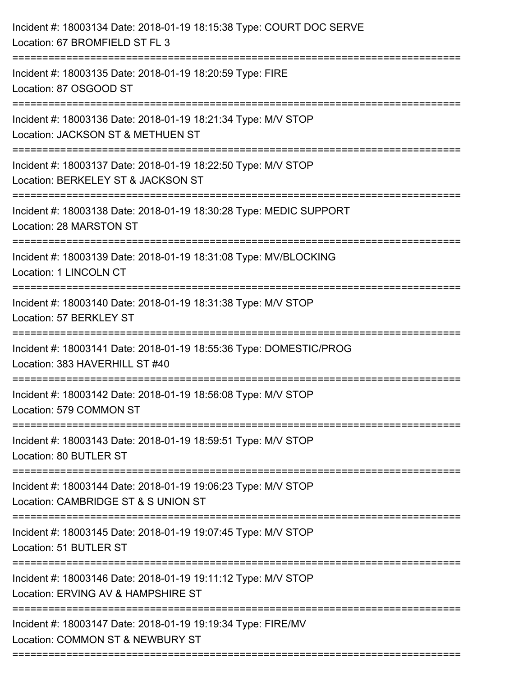| Incident #: 18003135 Date: 2018-01-19 18:20:59 Type: FIRE<br>Location: 87 OSGOOD ST<br>Incident #: 18003136 Date: 2018-01-19 18:21:34 Type: M/V STOP<br>Location: JACKSON ST & METHUEN ST<br>Incident #: 18003137 Date: 2018-01-19 18:22:50 Type: M/V STOP<br>Location: BERKELEY ST & JACKSON ST<br>:================<br>Incident #: 18003138 Date: 2018-01-19 18:30:28 Type: MEDIC SUPPORT<br>Location: 28 MARSTON ST<br>Incident #: 18003139 Date: 2018-01-19 18:31:08 Type: MV/BLOCKING<br><b>Location: 1 LINCOLN CT</b><br>________________________________<br>=========================<br>Incident #: 18003140 Date: 2018-01-19 18:31:38 Type: M/V STOP<br>Location: 57 BERKLEY ST<br>Incident #: 18003141 Date: 2018-01-19 18:55:36 Type: DOMESTIC/PROG<br>Location: 383 HAVERHILL ST #40<br>Incident #: 18003142 Date: 2018-01-19 18:56:08 Type: M/V STOP<br>Location: 579 COMMON ST<br>Incident #: 18003143 Date: 2018-01-19 18:59:51 Type: M/V STOP<br>Location: 80 BUTLER ST<br>Incident #: 18003144 Date: 2018-01-19 19:06:23 Type: M/V STOP<br>Location: CAMBRIDGE ST & S UNION ST<br>Incident #: 18003145 Date: 2018-01-19 19:07:45 Type: M/V STOP<br>Location: 51 BUTLER ST<br>Incident #: 18003146 Date: 2018-01-19 19:11:12 Type: M/V STOP<br>Location: ERVING AV & HAMPSHIRE ST<br>-------------------------------<br>Incident #: 18003147 Date: 2018-01-19 19:19:34 Type: FIRE/MV | Incident #: 18003134 Date: 2018-01-19 18:15:38 Type: COURT DOC SERVE<br>Location: 67 BROMFIELD ST FL 3 |
|------------------------------------------------------------------------------------------------------------------------------------------------------------------------------------------------------------------------------------------------------------------------------------------------------------------------------------------------------------------------------------------------------------------------------------------------------------------------------------------------------------------------------------------------------------------------------------------------------------------------------------------------------------------------------------------------------------------------------------------------------------------------------------------------------------------------------------------------------------------------------------------------------------------------------------------------------------------------------------------------------------------------------------------------------------------------------------------------------------------------------------------------------------------------------------------------------------------------------------------------------------------------------------------------------------------------------------------------------------------------------------------------------|--------------------------------------------------------------------------------------------------------|
|                                                                                                                                                                                                                                                                                                                                                                                                                                                                                                                                                                                                                                                                                                                                                                                                                                                                                                                                                                                                                                                                                                                                                                                                                                                                                                                                                                                                      |                                                                                                        |
|                                                                                                                                                                                                                                                                                                                                                                                                                                                                                                                                                                                                                                                                                                                                                                                                                                                                                                                                                                                                                                                                                                                                                                                                                                                                                                                                                                                                      |                                                                                                        |
|                                                                                                                                                                                                                                                                                                                                                                                                                                                                                                                                                                                                                                                                                                                                                                                                                                                                                                                                                                                                                                                                                                                                                                                                                                                                                                                                                                                                      |                                                                                                        |
|                                                                                                                                                                                                                                                                                                                                                                                                                                                                                                                                                                                                                                                                                                                                                                                                                                                                                                                                                                                                                                                                                                                                                                                                                                                                                                                                                                                                      |                                                                                                        |
|                                                                                                                                                                                                                                                                                                                                                                                                                                                                                                                                                                                                                                                                                                                                                                                                                                                                                                                                                                                                                                                                                                                                                                                                                                                                                                                                                                                                      |                                                                                                        |
|                                                                                                                                                                                                                                                                                                                                                                                                                                                                                                                                                                                                                                                                                                                                                                                                                                                                                                                                                                                                                                                                                                                                                                                                                                                                                                                                                                                                      |                                                                                                        |
|                                                                                                                                                                                                                                                                                                                                                                                                                                                                                                                                                                                                                                                                                                                                                                                                                                                                                                                                                                                                                                                                                                                                                                                                                                                                                                                                                                                                      |                                                                                                        |
|                                                                                                                                                                                                                                                                                                                                                                                                                                                                                                                                                                                                                                                                                                                                                                                                                                                                                                                                                                                                                                                                                                                                                                                                                                                                                                                                                                                                      |                                                                                                        |
|                                                                                                                                                                                                                                                                                                                                                                                                                                                                                                                                                                                                                                                                                                                                                                                                                                                                                                                                                                                                                                                                                                                                                                                                                                                                                                                                                                                                      |                                                                                                        |
|                                                                                                                                                                                                                                                                                                                                                                                                                                                                                                                                                                                                                                                                                                                                                                                                                                                                                                                                                                                                                                                                                                                                                                                                                                                                                                                                                                                                      |                                                                                                        |
|                                                                                                                                                                                                                                                                                                                                                                                                                                                                                                                                                                                                                                                                                                                                                                                                                                                                                                                                                                                                                                                                                                                                                                                                                                                                                                                                                                                                      |                                                                                                        |
|                                                                                                                                                                                                                                                                                                                                                                                                                                                                                                                                                                                                                                                                                                                                                                                                                                                                                                                                                                                                                                                                                                                                                                                                                                                                                                                                                                                                      |                                                                                                        |
|                                                                                                                                                                                                                                                                                                                                                                                                                                                                                                                                                                                                                                                                                                                                                                                                                                                                                                                                                                                                                                                                                                                                                                                                                                                                                                                                                                                                      | Location: COMMON ST & NEWBURY ST                                                                       |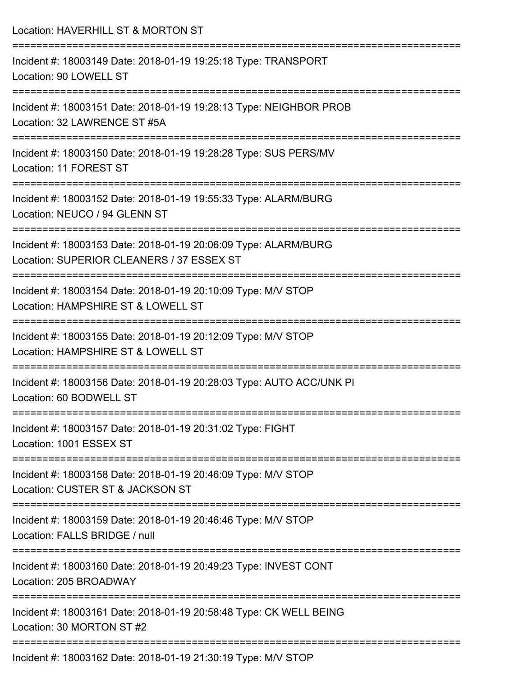| Location: HAVERHILL ST & MORTON ST                                                                                                                                         |
|----------------------------------------------------------------------------------------------------------------------------------------------------------------------------|
| Incident #: 18003149 Date: 2018-01-19 19:25:18 Type: TRANSPORT<br>Location: 90 LOWELL ST                                                                                   |
| Incident #: 18003151 Date: 2018-01-19 19:28:13 Type: NEIGHBOR PROB<br>Location: 32 LAWRENCE ST #5A                                                                         |
| Incident #: 18003150 Date: 2018-01-19 19:28:28 Type: SUS PERS/MV<br>Location: 11 FOREST ST                                                                                 |
| Incident #: 18003152 Date: 2018-01-19 19:55:33 Type: ALARM/BURG<br>Location: NEUCO / 94 GLENN ST                                                                           |
| Incident #: 18003153 Date: 2018-01-19 20:06:09 Type: ALARM/BURG<br>Location: SUPERIOR CLEANERS / 37 ESSEX ST                                                               |
| ----------------------------<br>-----------------------------------<br>Incident #: 18003154 Date: 2018-01-19 20:10:09 Type: M/V STOP<br>Location: HAMPSHIRE ST & LOWELL ST |
| Incident #: 18003155 Date: 2018-01-19 20:12:09 Type: M/V STOP<br>Location: HAMPSHIRE ST & LOWELL ST                                                                        |
| Incident #: 18003156 Date: 2018-01-19 20:28:03 Type: AUTO ACC/UNK PI<br>Location: 60 BODWELL ST                                                                            |
| Incident #: 18003157 Date: 2018-01-19 20:31:02 Type: FIGHT<br>Location: 1001 ESSEX ST                                                                                      |
| Incident #: 18003158 Date: 2018-01-19 20:46:09 Type: M/V STOP<br>Location: CUSTER ST & JACKSON ST                                                                          |
| Incident #: 18003159 Date: 2018-01-19 20:46:46 Type: M/V STOP<br>Location: FALLS BRIDGE / null                                                                             |
| Incident #: 18003160 Date: 2018-01-19 20:49:23 Type: INVEST CONT<br>Location: 205 BROADWAY                                                                                 |
| Incident #: 18003161 Date: 2018-01-19 20:58:48 Type: CK WELL BEING<br>Location: 30 MORTON ST #2                                                                            |
| Incident #: 18003162 Date: 2018-01-19 21:30:19 Type: M/V STOP                                                                                                              |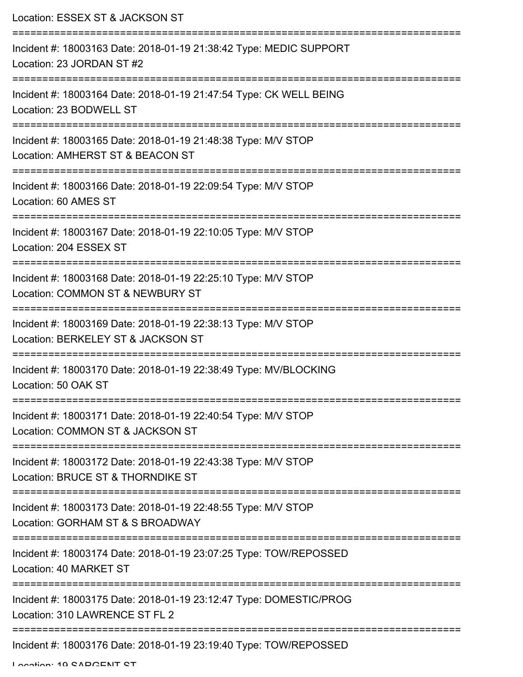| Location: ESSEX ST & JACKSON ST                                                                                       |
|-----------------------------------------------------------------------------------------------------------------------|
| Incident #: 18003163 Date: 2018-01-19 21:38:42 Type: MEDIC SUPPORT<br>Location: 23 JORDAN ST #2<br>================== |
| Incident #: 18003164 Date: 2018-01-19 21:47:54 Type: CK WELL BEING<br>Location: 23 BODWELL ST                         |
| Incident #: 18003165 Date: 2018-01-19 21:48:38 Type: M/V STOP<br>Location: AMHERST ST & BEACON ST                     |
| Incident #: 18003166 Date: 2018-01-19 22:09:54 Type: M/V STOP<br>Location: 60 AMES ST                                 |
| Incident #: 18003167 Date: 2018-01-19 22:10:05 Type: M/V STOP<br>Location: 204 ESSEX ST                               |
| Incident #: 18003168 Date: 2018-01-19 22:25:10 Type: M/V STOP<br>Location: COMMON ST & NEWBURY ST                     |
| Incident #: 18003169 Date: 2018-01-19 22:38:13 Type: M/V STOP<br>Location: BERKELEY ST & JACKSON ST                   |
| Incident #: 18003170 Date: 2018-01-19 22:38:49 Type: MV/BLOCKING<br>Location: 50 OAK ST                               |
| Incident #: 18003171 Date: 2018-01-19 22:40:54 Type: M/V STOP<br>Location: COMMON ST & JACKSON ST                     |
| Incident #: 18003172 Date: 2018-01-19 22:43:38 Type: M/V STOP<br>Location: BRUCE ST & THORNDIKE ST                    |
| Incident #: 18003173 Date: 2018-01-19 22:48:55 Type: M/V STOP<br>Location: GORHAM ST & S BROADWAY                     |
| Incident #: 18003174 Date: 2018-01-19 23:07:25 Type: TOW/REPOSSED<br>Location: 40 MARKET ST                           |
| Incident #: 18003175 Date: 2018-01-19 23:12:47 Type: DOMESTIC/PROG<br>Location: 310 LAWRENCE ST FL 2                  |
| Incident #: 18003176 Date: 2018-01-19 23:19:40 Type: TOW/REPOSSED                                                     |